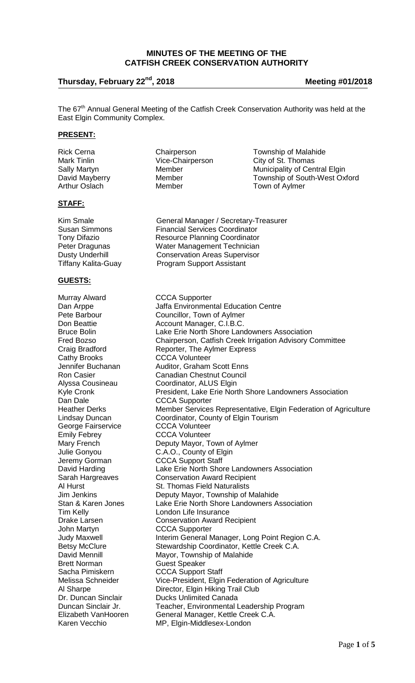## **MINUTES OF THE MEETING OF THE CATFISH CREEK CONSERVATION AUTHORITY**

# **Thursday, February 22nd, 2018 Meeting #01/2018**

The 67<sup>th</sup> Annual General Meeting of the Catfish Creek Conservation Authority was held at the East Elgin Community Complex.

#### **PRESENT:**

Rick Cerna **Chairperson** Chairperson Township of Malahide Mark Tinlin **Mark Tinlin** Vice-Chairperson City of St. Thomas<br>
Sally Martyn **Member** Member Municipality of Cen Sally Martyn **Municipality of Central Elgin**<br>
David Mayberry **Member** Member **Municipality of South-West Ox** Township of South-West Oxford Arthur Oslach Member Town of Aylmer

Program Support Assistant

#### **STAFF:**

Dusty Underhill Conservation Areas Supervisor<br>Tiffany Kalita-Guay **Conservation Construment** Conservation

#### **GUESTS:**

Murray Alward **CCCA Supporter**<br>
Dan Arppe **CCCA Supporter** George Fairservice **CCCA Volunteer**<br>
Emily Febrey **CCCA Volunteer** Jeremy Gorman CCCA Support Staff<br>David Harding CLake Erie North Sho Brett Norman Guest Speaker<br>
Sacha Pimiskern GCCCA Support Sacha Pimiskern CCCA Support Staff<br>
Melissa Schneider Vice-President, Elgin

Kim Smale **General Manager / Secretary-Treasurer** Susan Simmons Financial Services Coordinator<br>Tony Difazio Francisco Resource Planning Coordinator Tony Difazio **Resource Planning Coordinator**<br>Peter Dragunas **Resource Water Management Technician** Water Management Technician

Dan Arppe Jaffa Environmental Education Centre<br>
Pete Barbour Councillor, Town of Aylmer Pete Barbour Councillor, Town of Aylmer<br>
Don Beattie Councillor, Town of Aylmer<br>
Account Manager, C.I.B.C. Account Manager, C.I.B.C. Bruce Bolin **Lake Erie North Shore Landowners Association**<br>Fred Bozso **Chairperson, Catfish Creek Irrigation Advisory C** Fred Bozso **Chairperson, Catfish Creek Irrigation Advisory Committee**<br>Craig Bradford **Craig Reporter, The Aylmer Express** Craig Bradford **Reporter, The Aylmer Express**<br>Cathy Brooks **CCCA** Volunteer **CCCA Volunteer** Jennifer Buchanan Auditor, Graham Scott Enns<br>Ron Casier Canadian Chestnut Council Ron Casier Canadian Chestnut Council<br>Alyssa Cousineau Coordinator, ALUS Elgin Alyssa Cousineau Coordinator, ALUS Elgin<br>Kyle Cronk Content, Lake Erie Nort Kyle Cronk **President, Lake Erie North Shore Landowners** Association<br>Dan Dale **Research CCCA** Supporter CCCA Supporter Heather Derks Member Services Representative, Elgin Federation of Agriculture Lindsay Duncan Coordinator, County of Elgin Tourism CCCA Volunteer Mary French Deputy Mayor, Town of Aylmer<br>
Julie Gonyou C.A.O., County of Elgin Julie Gonyou C.A.O., County of Elgin<br>Jeremy Gorman CCCA Support Staff Lake Erie North Shore Landowners Association Sarah Hargreaves Conservation Award Recipient<br>Al Hurst Conservation Award Recipient Al Hurst **St. Thomas Field Naturalists**<br>
Jim Jenkins **St. Thomas Field Naturalists** Deputy Mayor, Township of Malahide Stan & Karen Jones Lake Erie North Shore Landowners Association Tim Kelly **London Life Insurance** Drake Larsen **Conservation Award Recipient**<br>
John Martyn **CCCA** Supporter CCCA Supporter Judy Maxwell **Interim General Manager, Long Point Region C.A.** Betsy McClure Stewardship Coordinator, Kettle Creek C.A. David Mennill Mayor, Township of Malahide<br>Brett Norman Guest Speaker Vice-President, Elgin Federation of Agriculture Al Sharpe **Director**, Elgin Hiking Trail Club Dr. Duncan Sinclair Ducks Unlimited Canada Duncan Sinclair Jr. Teacher, Environmental Leadership Program<br>Elizabeth VanHooren General Manager, Kettle Creek C.A. General Manager, Kettle Creek C.A. Karen Vecchio MP, Elgin-Middlesex-London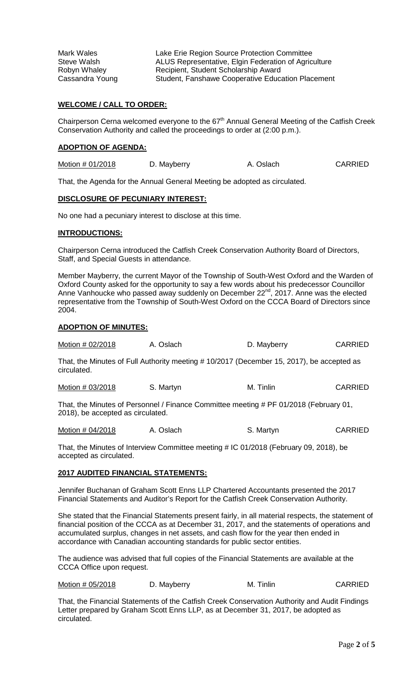Mark Wales<br>
Steve Walsh Mark ALUS Representative. Elgin Federation of Agric ALUS Representative, Elgin Federation of Agriculture Robyn Whaley **Recipient, Student Scholarship Award**<br>Cassandra Young **Recipient, Fanshawe Cooperative Educ** Student, Fanshawe Cooperative Education Placement

## **WELCOME / CALL TO ORDER:**

Chairperson Cerna welcomed everyone to the 67<sup>th</sup> Annual General Meeting of the Catfish Creek Conservation Authority and called the proceedings to order at (2:00 p.m.).

#### **ADOPTION OF AGENDA:**

| Motion # 01/2018 | D. Mayberry | A. Oslach | <b>CARRIED</b> |
|------------------|-------------|-----------|----------------|
|------------------|-------------|-----------|----------------|

That, the Agenda for the Annual General Meeting be adopted as circulated.

#### **DISCLOSURE OF PECUNIARY INTEREST:**

No one had a pecuniary interest to disclose at this time.

#### **INTRODUCTIONS:**

Chairperson Cerna introduced the Catfish Creek Conservation Authority Board of Directors, Staff, and Special Guests in attendance.

Member Mayberry, the current Mayor of the Township of South-West Oxford and the Warden of Oxford County asked for the opportunity to say a few words about his predecessor Councillor Anne Vanhoucke who passed away suddenly on December 22<sup>nd</sup>, 2017. Anne was the elected representative from the Township of South-West Oxford on the CCCA Board of Directors since 2004.

#### **ADOPTION OF MINUTES:**

| Motion # 02/2018 | A. Oslach | D. Mayberry | <b>CARRIED</b> |
|------------------|-----------|-------------|----------------|
|------------------|-----------|-------------|----------------|

That, the Minutes of Full Authority meeting # 10/2017 (December 15, 2017), be accepted as circulated.

Motion # 03/2018 S. Martyn M. Tinlin M. Tinlin CARRIED

That, the Minutes of Personnel / Finance Committee meeting # PF 01/2018 (February 01, 2018), be accepted as circulated.

Motion # 04/2018 A. Oslach S. Martyn S. Martyn

That, the Minutes of Interview Committee meeting # IC 01/2018 (February 09, 2018), be accepted as circulated.

## **2017 AUDITED FINANCIAL STATEMENTS:**

Jennifer Buchanan of Graham Scott Enns LLP Chartered Accountants presented the 2017 Financial Statements and Auditor's Report for the Catfish Creek Conservation Authority.

She stated that the Financial Statements present fairly, in all material respects, the statement of financial position of the CCCA as at December 31, 2017, and the statements of operations and accumulated surplus, changes in net assets, and cash flow for the year then ended in accordance with Canadian accounting standards for public sector entities.

The audience was advised that full copies of the Financial Statements are available at the CCCA Office upon request.

Motion # 05/2018 D. Mayberry M. Tinlin CARRIED

That, the Financial Statements of the Catfish Creek Conservation Authority and Audit Findings Letter prepared by Graham Scott Enns LLP, as at December 31, 2017, be adopted as circulated.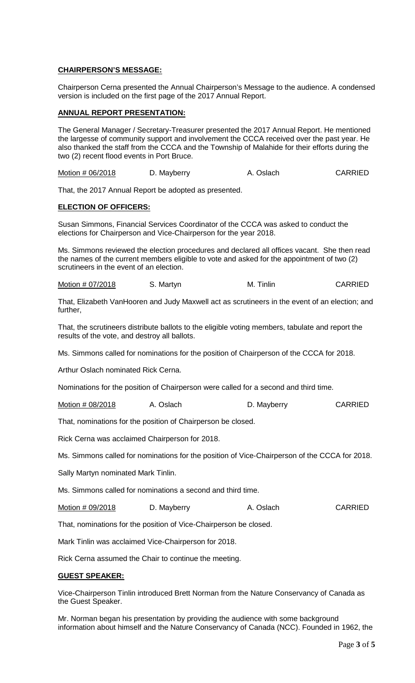## **CHAIRPERSON'S MESSAGE:**

Chairperson Cerna presented the Annual Chairperson's Message to the audience. A condensed version is included on the first page of the 2017 Annual Report.

## **ANNUAL REPORT PRESENTATION:**

The General Manager / Secretary-Treasurer presented the 2017 Annual Report. He mentioned the largesse of community support and involvement the CCCA received over the past year. He also thanked the staff from the CCCA and the Township of Malahide for their efforts during the two (2) recent flood events in Port Bruce.

Motion # 06/2018 D. Mayberry A. Oslach CARRIED

That, the 2017 Annual Report be adopted as presented.

## **ELECTION OF OFFICERS:**

Susan Simmons, Financial Services Coordinator of the CCCA was asked to conduct the elections for Chairperson and Vice-Chairperson for the year 2018.

Ms. Simmons reviewed the election procedures and declared all offices vacant. She then read the names of the current members eligible to vote and asked for the appointment of two (2) scrutineers in the event of an election.

Motion # 07/2018 S. Martyn M. Tinlin CARRIED

That, Elizabeth VanHooren and Judy Maxwell act as scrutineers in the event of an election; and further,

That, the scrutineers distribute ballots to the eligible voting members, tabulate and report the results of the vote, and destroy all ballots.

Ms. Simmons called for nominations for the position of Chairperson of the CCCA for 2018.

Arthur Oslach nominated Rick Cerna.

Nominations for the position of Chairperson were called for a second and third time.

Motion # 08/2018 A. Oslach D. Mayberry CARRIED

That, nominations for the position of Chairperson be closed.

Rick Cerna was acclaimed Chairperson for 2018.

Ms. Simmons called for nominations for the position of Vice-Chairperson of the CCCA for 2018.

Sally Martyn nominated Mark Tinlin.

Ms. Simmons called for nominations a second and third time.

Motion # 09/2018 D. Mayberry A. Oslach CARRIED

That, nominations for the position of Vice-Chairperson be closed.

Mark Tinlin was acclaimed Vice-Chairperson for 2018.

Rick Cerna assumed the Chair to continue the meeting.

#### **GUEST SPEAKER:**

Vice-Chairperson Tinlin introduced Brett Norman from the Nature Conservancy of Canada as the Guest Speaker.

Mr. Norman began his presentation by providing the audience with some background information about himself and the Nature Conservancy of Canada (NCC). Founded in 1962, the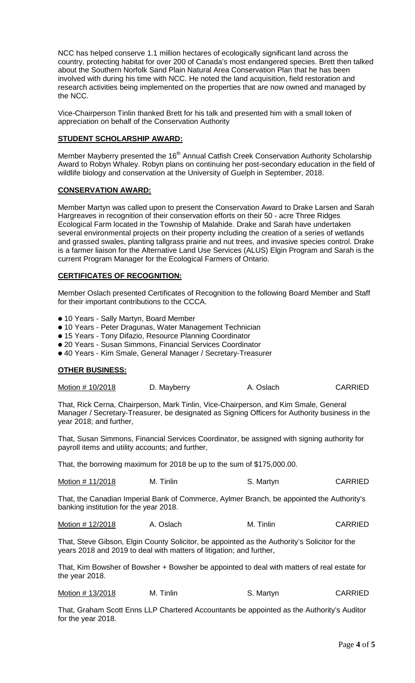NCC has helped conserve 1.1 million hectares of ecologically significant land across the country, protecting habitat for over 200 of Canada's most endangered species. Brett then talked about the Southern Norfolk Sand Plain Natural Area Conservation Plan that he has been involved with during his time with NCC. He noted the land acquisition, field restoration and research activities being implemented on the properties that are now owned and managed by the NCC.

Vice-Chairperson Tinlin thanked Brett for his talk and presented him with a small token of appreciation on behalf of the Conservation Authority

## **STUDENT SCHOLARSHIP AWARD:**

Member Mayberry presented the 16<sup>th</sup> Annual Catfish Creek Conservation Authority Scholarship Award to Robyn Whaley. Robyn plans on continuing her post-secondary education in the field of wildlife biology and conservation at the University of Guelph in September, 2018.

## **CONSERVATION AWARD:**

Member Martyn was called upon to present the Conservation Award to Drake Larsen and Sarah Hargreaves in recognition of their conservation efforts on their 50 - acre Three Ridges Ecological Farm located in the Township of Malahide. Drake and Sarah have undertaken several environmental projects on their property including the creation of a series of wetlands and grassed swales, planting tallgrass prairie and nut trees, and invasive species control. Drake is a farmer liaison for the Alternative Land Use Services (ALUS) Elgin Program and Sarah is the current Program Manager for the Ecological Farmers of Ontario.

## **CERTIFICATES OF RECOGNITION:**

Member Oslach presented Certificates of Recognition to the following Board Member and Staff for their important contributions to the CCCA.

- **•** 10 Years Sally Martyn, Board Member
- **•** 10 Years Peter Dragunas, Water Management Technician
- **•** 15 Years Tony Difazio, Resource Planning Coordinator
- **•** 20 Years Susan Simmons, Financial Services Coordinator
- **•** 40 Years Kim Smale, General Manager / Secretary-Treasurer

## **OTHER BUSINESS:**

| Motion # 10/2018 | D. Mayberry | A. Oslach | <b>CARRIED</b> |
|------------------|-------------|-----------|----------------|
|------------------|-------------|-----------|----------------|

That, Rick Cerna, Chairperson, Mark Tinlin, Vice-Chairperson, and Kim Smale, General Manager / Secretary-Treasurer, be designated as Signing Officers for Authority business in the year 2018; and further,

That, Susan Simmons, Financial Services Coordinator, be assigned with signing authority for payroll items and utility accounts; and further,

That, the borrowing maximum for 2018 be up to the sum of \$175,000.00.

| Motion # 11/2018 | M. Tinlin | S. Martyn | <b>CARRIED</b> |
|------------------|-----------|-----------|----------------|
|------------------|-----------|-----------|----------------|

That, the Canadian Imperial Bank of Commerce, Aylmer Branch, be appointed the Authority's banking institution for the year 2018.

Motion # 12/2018 A. Oslach M. Tinlin CARRIED

That, Steve Gibson, Elgin County Solicitor, be appointed as the Authority's Solicitor for the years 2018 and 2019 to deal with matters of litigation; and further,

That, Kim Bowsher of Bowsher + Bowsher be appointed to deal with matters of real estate for the year 2018.

| Motion #13/2018 | M. Tinlin | S. Martyn | <b>CARRIED</b> |
|-----------------|-----------|-----------|----------------|
|-----------------|-----------|-----------|----------------|

That, Graham Scott Enns LLP Chartered Accountants be appointed as the Authority's Auditor for the year 2018.